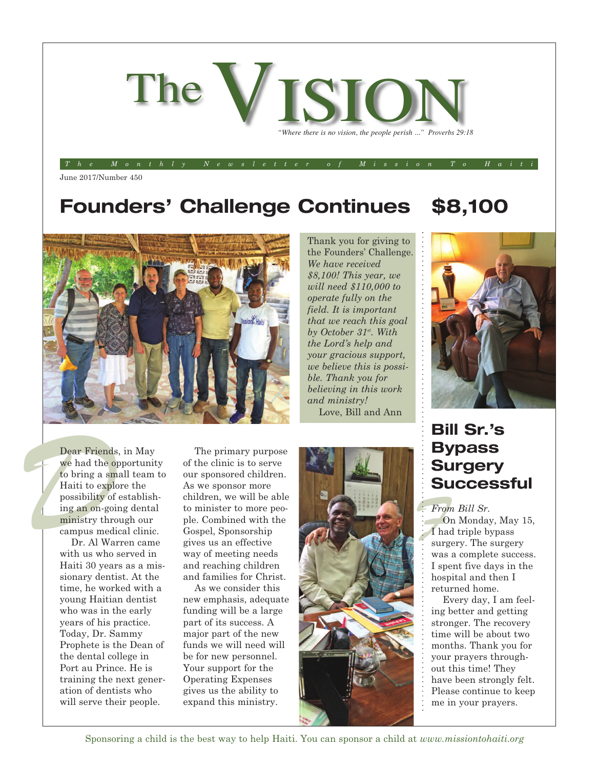

June 2017/Number 450

# **Founders' Challenge Continues**

Thank you for giving to the Founders' Challenge. *We have received \$8,100! This year, we will need \$110,000 to operate fully on the field. It is important that we reach this goal by October 31st . With the Lord's help and your gracious support, we believe this is possible. Thank you for believing in this work and ministry!* Love, Bill and Ann

## **\$8,100**



### **Bill Sr.'s Bypass Surgery Successful**

*From Bill Sr.* On Monday, May 15, I had triple bypass surgery. The surgery was a complete success. I spent five days in the hospital and then I returned home.

Every day, I am feeling better and getting stronger. The recovery time will be about two months. Thank you for your prayers throughout this time! They have been strongly felt. Please continue to keep me in your prayers.

Dear Friends, in May we had the opportunity to bring a small team to Haiti to explore the possibility of establishing an on-going dental ministry through our campus medical clinic.

Dr. Al Warren came with us who served in Haiti 30 years as a missionary dentist. At the time, he worked with a young Haitian dentist who was in the early years of his practice. Today, Dr. Sammy Prophete is the Dean of the dental college in Port au Prince. He is training the next generation of dentists who will serve their people.

The primary purpose of the clinic is to serve our sponsored children. As we sponsor more children, we will be able to minister to more people. Combined with the Gospel, Sponsorship gives us an effective way of meeting needs and reaching children and families for Christ.

As we consider this new emphasis, adequate funding will be a large part of its success. A major part of the new funds we will need will be for new personnel. Your support for the Operating Expenses gives us the ability to expand this ministry.